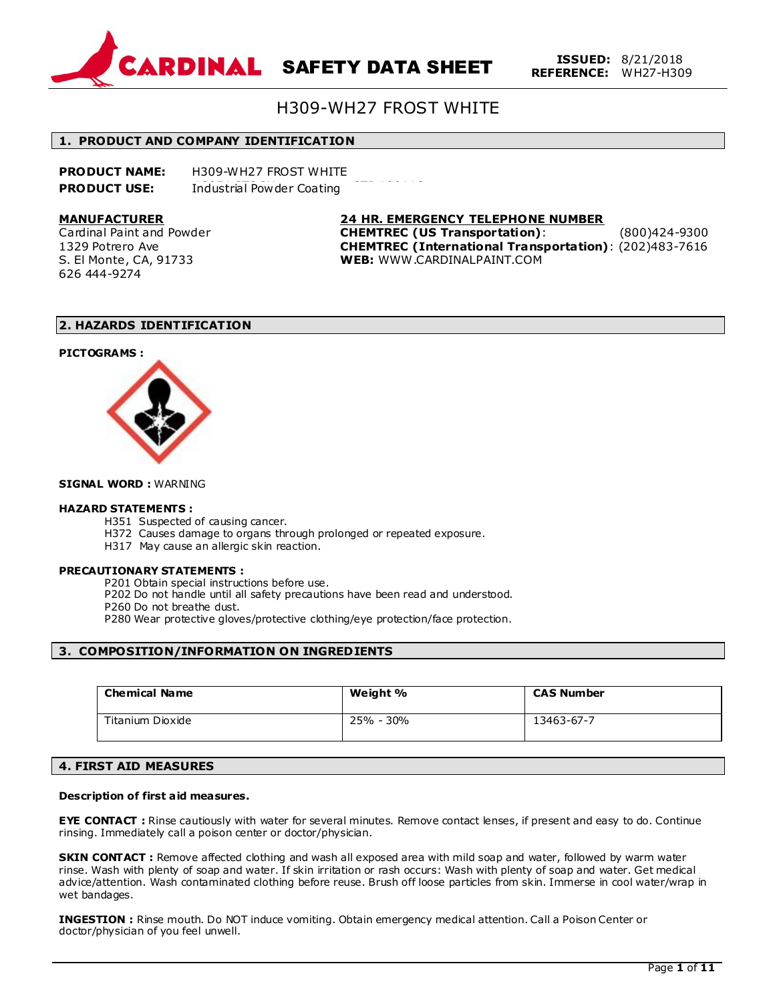

# H309-WH27 FROST WHITE

# #0954 STOCK STD#00118 **1. PRODUCT AND COMPANY IDENTIFICATION**

| <b>PRODUCT NAME:</b> | H309-WH27 FROST WHITE     |  |
|----------------------|---------------------------|--|
| <b>PRODUCT USE:</b>  | Industrial Powder Coating |  |

### **MANUFACTURER**

Cardinal Paint and Powder 1329 Potrero Ave S. El Monte, CA, 91733 626 444-9274

**24 HR. EMERGENCY TELEPHONE NUMBER CHEMTREC (US Transportation)**: (800)424-9300 **CHEMTREC (International Transportation)**: (202)483-7616 **WEB:** WWW .CARDINALPAINT.COM

# **2. HAZARDS IDENTIFICATION**

### **PICTOGRAMS :**



### **SIGNAL WORD :** WARNING

# **HAZARD STATEMENTS :**

- H351 Suspected of causing cancer.
- H372 Causes damage to organs through prolonged or repeated exposure.
- H317 May cause an allergic skin reaction.

### **PRECAUTIONARY STATEMENTS :**

P201 Obtain special instructions before use.

P202 Do not handle until all safety precautions have been read and understood.

P260 Do not breathe dust.

P280 Wear protective gloves/protective clothing/eye protection/face protection.

# **3. COMPOSITION/INFORMATION ON INGREDIENTS**

| <b>Chemical Name</b> | Weight %  | <b>CAS Number</b> |
|----------------------|-----------|-------------------|
| Titanium Dioxide     | 25% - 30% | 13463-67-7        |

# **4. FIRST AID MEASURES**

## **Description of first aid measures.**

**EYE CONTACT :** Rinse cautiously with water for several minutes. Remove contact lenses, if present and easy to do. Continue rinsing. Immediately call a poison center or doctor/physician.

**SKIN CONTACT :** Remove affected clothing and wash all exposed area with mild soap and water, followed by warm water rinse. Wash with plenty of soap and water. If skin irritation or rash occurs: Wash with plenty of soap and water. Get medical advice/attention. Wash contaminated clothing before reuse. Brush off loose particles from skin. Immerse in cool water/wrap in wet bandages.

**INGESTION :** Rinse mouth. Do NOT induce vomiting. Obtain emergency medical attention. Call a Poison Center or doctor/physician of you feel unwell.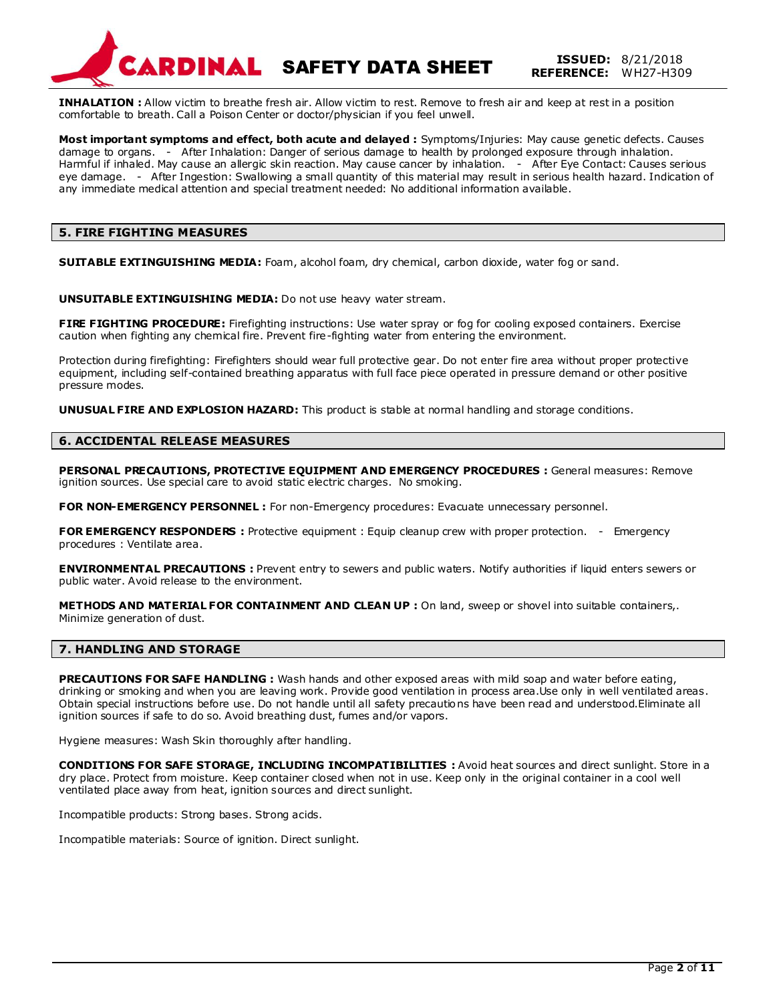

**INHALATION :** Allow victim to breathe fresh air. Allow victim to rest. Remove to fresh air and keep at rest in a position comfortable to breath. Call a Poison Center or doctor/physician if you feel unwell.

**Most important symptoms and effect, both acute and delayed :** Symptoms/Injuries: May cause genetic defects. Causes damage to organs. - After Inhalation: Danger of serious damage to health by prolonged exposure through inhalation. Harmful if inhaled. May cause an allergic skin reaction. May cause cancer by inhalation. - After Eye Contact: Causes serious eye damage. - After Ingestion: Swallowing a small quantity of this material may result in serious health hazard. Indication of any immediate medical attention and special treatment needed: No additional information available.

# **5. FIRE FIGHTING MEASURES**

**SUITABLE EXTINGUISHING MEDIA:** Foam, alcohol foam, dry chemical, carbon dioxide, water fog or sand.

**UNSUITABLE EXTINGUISHING MEDIA:** Do not use heavy water stream.

**FIRE FIGHTING PROCEDURE:** Firefighting instructions: Use water spray or fog for cooling exposed containers. Exercise caution when fighting any chemical fire. Prevent fire-fighting water from entering the environment.

Protection during firefighting: Firefighters should wear full protective gear. Do not enter fire area without proper protective equipment, including self-contained breathing apparatus with full face piece operated in pressure demand or other positive pressure modes.

**UNUSUAL FIRE AND EXPLOSION HAZARD:** This product is stable at normal handling and storage conditions.

# **6. ACCIDENTAL RELEASE MEASURES**

**PERSONAL PRECAUTIONS, PROTECTIVE EQUIPMENT AND EMERGENCY PROCEDURES :** General measures: Remove ignition sources. Use special care to avoid static electric charges. No smoking.

FOR NON-EMERGENCY PERSONNEL : For non-Emergency procedures: Evacuate unnecessary personnel.

**FOR EMERGENCY RESPONDERS :** Protective equipment : Equip cleanup crew with proper protection. - Emergency procedures : Ventilate area.

**ENVIRONMENTAL PRECAUTIONS :** Prevent entry to sewers and public waters. Notify authorities if liquid enters sewers or public water. Avoid release to the environment.

**METHODS AND MATERIAL FOR CONTAINMENT AND CLEAN UP :** On land, sweep or shovel into suitable containers,. Minimize generation of dust.

# **7. HANDLING AND STORAGE**

**PRECAUTIONS FOR SAFE HANDLING :** Wash hands and other exposed areas with mild soap and water before eating, drinking or smoking and when you are leaving work. Provide good ventilation in process area.Use only in well ventilated areas. Obtain special instructions before use. Do not handle until all safety precautions have been read and understood.Eliminate all ignition sources if safe to do so. Avoid breathing dust, fumes and/or vapors.

Hygiene measures: Wash Skin thoroughly after handling.

**CONDITIONS FOR SAFE STORAGE, INCLUDING INCOMPATIBILITIES :** Avoid heat sources and direct sunlight. Store in a dry place. Protect from moisture. Keep container closed when not in use. Keep only in the original container in a cool well ventilated place away from heat, ignition sources and direct sunlight.

Incompatible products: Strong bases. Strong acids.

Incompatible materials: Source of ignition. Direct sunlight.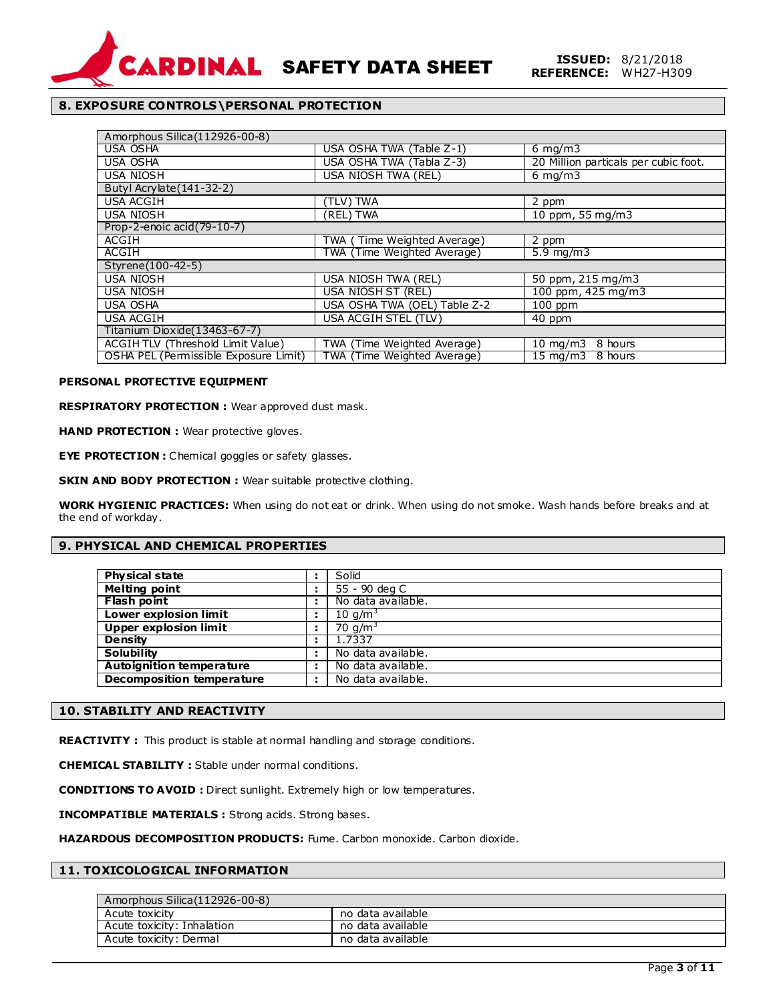

# **8. EXPOSURE CONTROLS\PERSONAL PROTECTION**

| Amorphous Silica (112926-00-8)        |                              |                                      |  |
|---------------------------------------|------------------------------|--------------------------------------|--|
| <b>USA OSHA</b>                       | USA OSHA TWA (Table Z-1)     | $6 \text{ mg/m}$                     |  |
| <b>USA OSHA</b>                       | USA OSHA TWA (Tabla Z-3)     | 20 Million particals per cubic foot. |  |
| <b>USA NIOSH</b>                      | USA NIOSH TWA (REL)          | $6 \text{ mg/m}$                     |  |
| Butyl Acrylate (141-32-2)             |                              |                                      |  |
| <b>USA ACGIH</b>                      | (TLV) TWA                    | 2 ppm                                |  |
| <b>USA NIOSH</b>                      | (REL) TWA                    | 10 ppm, 55 $mq/m3$                   |  |
| Prop-2-enoic acid (79-10-7)           |                              |                                      |  |
| <b>ACGIH</b>                          | TWA (Time Weighted Average)  | 2 ppm                                |  |
| <b>ACGIH</b>                          | TWA (Time Weighted Average)  | $5.9$ mg/m $3$                       |  |
| Styrene(100-42-5)                     |                              |                                      |  |
| <b>USA NIOSH</b>                      | USA NIOSH TWA (REL)          | 50 ppm, 215 mg/m3                    |  |
| <b>USA NIOSH</b>                      | USA NIOSH ST (REL)           | 100 ppm, 425 mg/m3                   |  |
| <b>USA OSHA</b>                       | USA OSHA TWA (OEL) Table Z-2 | $100$ ppm                            |  |
| <b>USA ACGIH</b>                      | USA ACGIH STEL (TLV)         | 40 ppm                               |  |
| Titanium Dioxide (13463-67-7)         |                              |                                      |  |
| ACGIH TLV (Threshold Limit Value)     | TWA (Time Weighted Average)  | $10 \text{ mg/m}$<br>8 hours         |  |
| OSHA PEL (Permissible Exposure Limit) | TWA (Time Weighted Average)  | $15 \text{ mg/m}$<br>8 hours         |  |

## **PERSONAL PROTECTIVE EQUIPMENT**

**RESPIRATORY PROTECTION :** Wear approved dust mask.

**HAND PROTECTION :** Wear protective gloves.

**EYE PROTECTION :** Chemical goggles or safety glasses.

**SKIN AND BODY PROTECTION :** Wear suitable protective clothing.

**WORK HYGIENIC PRACTICES:** When using do not eat or drink. When using do not smoke. Wash hands before breaks and at the end of workday.

# **9. PHYSICAL AND CHEMICAL PROPERTIES**

| Physical state                   | Solid              |
|----------------------------------|--------------------|
| <b>Melting point</b>             | 55 - 90 deg C      |
| <b>Flash point</b>               | No data available. |
| <b>Lower explosion limit</b>     | 10 $q/m^3$         |
| <b>Upper explosion limit</b>     | 70 $q/m^3$         |
| <b>Density</b>                   | 1.7337             |
| <b>Solubility</b>                | No data available. |
| <b>Autoignition temperature</b>  | No data available. |
| <b>Decomposition temperature</b> | No data available. |

# **10. STABILITY AND REACTIVITY**

**REACTIVITY :** This product is stable at normal handling and storage conditions.

**CHEMICAL STABILITY :** Stable under normal conditions.

**CONDITIONS TO AVOID :** Direct sunlight. Extremely high or low temperatures.

**INCOMPATIBLE MATERIALS :** Strong acids. Strong bases.

**HAZARDOUS DECOMPOSITION PRODUCTS:** Fume. Carbon monoxide. Carbon dioxide.

# **11. TOXICOLOGICAL INFORMATION**

| Amorphous Silica (112926-00-8) |                   |
|--------------------------------|-------------------|
| Acute toxicity                 | no data available |
| Acute toxicity: Inhalation     | no data available |
| Acute toxicity: Dermal         | no data available |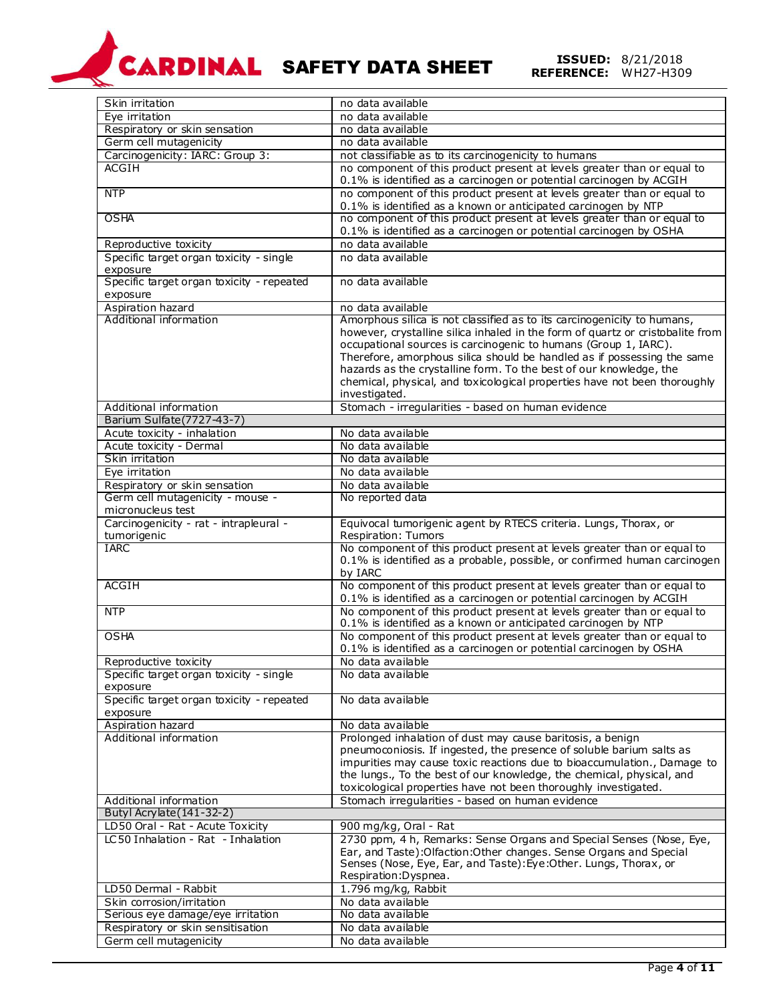# SAFETY DATA SHEET **ISSUED:** 8/21/2018 **REFERENCE:** WH27-H309

| Skin irritation                           | no data available                                                              |
|-------------------------------------------|--------------------------------------------------------------------------------|
| Eye irritation                            | no data available                                                              |
| Respiratory or skin sensation             | no data available                                                              |
| Germ cell mutagenicity                    | no data available                                                              |
| Carcinogenicity: IARC: Group 3:           | not classifiable as to its carcinogenicity to humans                           |
| <b>ACGIH</b>                              | no component of this product present at levels greater than or equal to        |
|                                           | 0.1% is identified as a carcinogen or potential carcinogen by ACGIH            |
| <b>NTP</b>                                | no component of this product present at levels greater than or equal to        |
|                                           | 0.1% is identified as a known or anticipated carcinogen by NTP                 |
| <b>OSHA</b>                               | no component of this product present at levels greater than or equal to        |
|                                           | 0.1% is identified as a carcinogen or potential carcinogen by OSHA             |
| Reproductive toxicity                     | no data available                                                              |
| Specific target organ toxicity - single   | no data available                                                              |
| exposure                                  |                                                                                |
| Specific target organ toxicity - repeated | no data available                                                              |
| exposure                                  |                                                                                |
| Aspiration hazard                         | no data available                                                              |
| Additional information                    | Amorphous silica is not classified as to its carcinogenicity to humans,        |
|                                           | however, crystalline silica inhaled in the form of quartz or cristobalite from |
|                                           | occupational sources is carcinogenic to humans (Group 1, IARC).                |
|                                           | Therefore, amorphous silica should be handled as if possessing the same        |
|                                           | hazards as the crystalline form. To the best of our knowledge, the             |
|                                           | chemical, physical, and toxicological properties have not been thoroughly      |
|                                           | investigated.                                                                  |
| Additional information                    | Stomach - irregularities - based on human evidence                             |
| Barium Sulfate(7727-43-7)                 |                                                                                |
| Acute toxicity - inhalation               | No data available                                                              |
| Acute toxicity - Dermal                   | No data available                                                              |
| Skin irritation                           | No data available                                                              |
| Eye irritation                            | No data available                                                              |
| Respiratory or skin sensation             | No data available                                                              |
| Germ cell mutagenicity - mouse -          | No reported data                                                               |
| micronucleus test                         |                                                                                |
| Carcinogenicity - rat - intrapleural -    | Equivocal tumorigenic agent by RTECS criteria. Lungs, Thorax, or               |
| tumorigenic                               | Respiration: Tumors                                                            |
| <b>IARC</b>                               | No component of this product present at levels greater than or equal to        |
|                                           | 0.1% is identified as a probable, possible, or confirmed human carcinogen      |
|                                           | by IARC                                                                        |
| <b>ACGIH</b>                              | No component of this product present at levels greater than or equal to        |
|                                           | 0.1% is identified as a carcinogen or potential carcinogen by ACGIH            |
| <b>NTP</b>                                | No component of this product present at levels greater than or equal to        |
|                                           | 0.1% is identified as a known or anticipated carcinogen by NTP                 |
| <b>OSHA</b>                               | No component of this product present at levels greater than or equal to        |
|                                           | 0.1% is identified as a carcinogen or potential carcinogen by OSHA             |
| Reproductive toxicity                     | No data available                                                              |
| Specific target organ toxicity - single   | No data available                                                              |
| exposure                                  |                                                                                |
| Specific target organ toxicity - repeated | No data available                                                              |
| exposure                                  |                                                                                |
| Aspiration hazard                         | No data available                                                              |
| Additional information                    | Prolonged inhalation of dust may cause baritosis, a benign                     |
|                                           | pneumoconiosis. If ingested, the presence of soluble barium salts as           |
|                                           | impurities may cause toxic reactions due to bioaccumulation., Damage to        |
|                                           | the lungs., To the best of our knowledge, the chemical, physical, and          |
|                                           | toxicological properties have not been thoroughly investigated.                |
| Additional information                    | Stomach irregularities - based on human evidence                               |
| Butyl Acrylate (141-32-2)                 |                                                                                |
| LD50 Oral - Rat - Acute Toxicity          | 900 mg/kg, Oral - Rat                                                          |
| LC50 Inhalation - Rat - Inhalation        | 2730 ppm, 4 h, Remarks: Sense Organs and Special Senses (Nose, Eye,            |
|                                           | Ear, and Taste): Olfaction: Other changes. Sense Organs and Special            |
|                                           | Senses (Nose, Eye, Ear, and Taste): Eye: Other. Lungs, Thorax, or              |
|                                           | Respiration: Dyspnea.                                                          |
| LD50 Dermal - Rabbit                      | 1.796 mg/kg, Rabbit                                                            |
| Skin corrosion/irritation                 | No data available                                                              |
| Serious eye damage/eye irritation         | No data available                                                              |
| Respiratory or skin sensitisation         | No data available                                                              |
| Germ cell mutagenicity                    | No data available                                                              |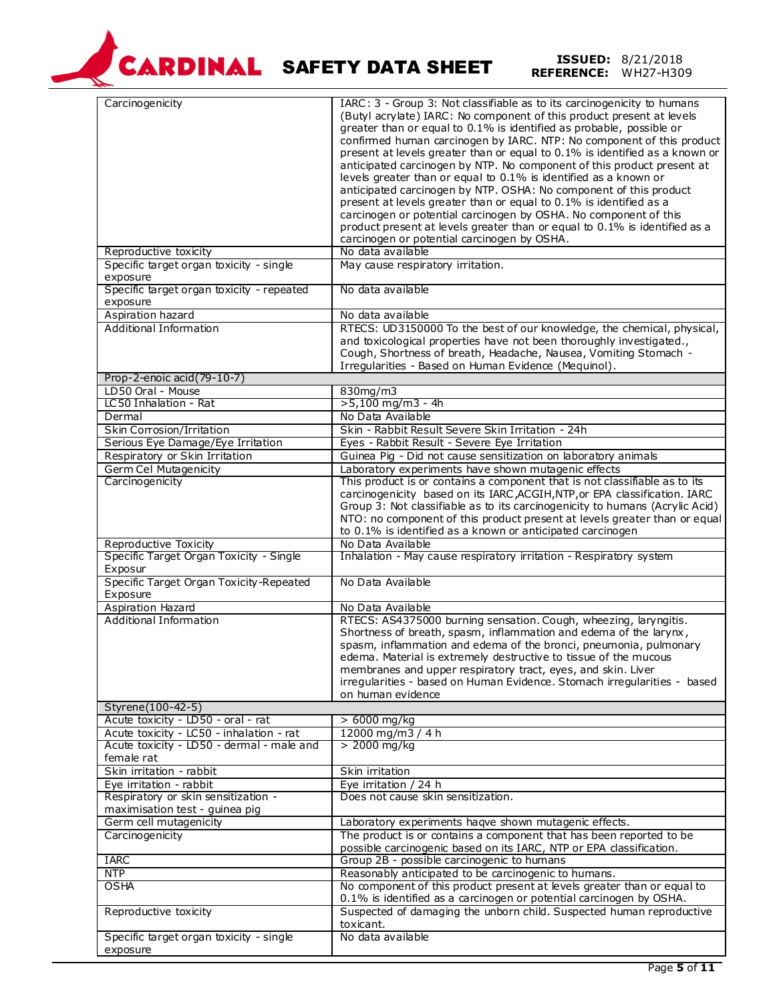

# SAFETY DATA SHEET **ISSUED:** 8/21/2018 **REFERENCE:** WH27-H309

| Carcinogenicity<br>Reproductive toxicity<br>Specific target organ toxicity - single<br>exposure<br>Specific target organ toxicity - repeated | IARC: 3 - Group 3: Not classifiable as to its carcinogenicity to humans<br>(Butyl acrylate) IARC: No component of this product present at levels<br>greater than or equal to 0.1% is identified as probable, possible or<br>confirmed human carcinogen by IARC. NTP: No component of this product<br>present at levels greater than or equal to 0.1% is identified as a known or<br>anticipated carcinogen by NTP. No component of this product present at<br>levels greater than or equal to 0.1% is identified as a known or<br>anticipated carcinogen by NTP. OSHA: No component of this product<br>present at levels greater than or equal to 0.1% is identified as a<br>carcinogen or potential carcinogen by OSHA. No component of this<br>product present at levels greater than or equal to 0.1% is identified as a<br>carcinogen or potential carcinogen by OSHA.<br>No data available<br>May cause respiratory irritation.<br>No data available |
|----------------------------------------------------------------------------------------------------------------------------------------------|-----------------------------------------------------------------------------------------------------------------------------------------------------------------------------------------------------------------------------------------------------------------------------------------------------------------------------------------------------------------------------------------------------------------------------------------------------------------------------------------------------------------------------------------------------------------------------------------------------------------------------------------------------------------------------------------------------------------------------------------------------------------------------------------------------------------------------------------------------------------------------------------------------------------------------------------------------------|
| exposure<br>Aspiration hazard                                                                                                                | No data available                                                                                                                                                                                                                                                                                                                                                                                                                                                                                                                                                                                                                                                                                                                                                                                                                                                                                                                                         |
| Additional Information                                                                                                                       | RTECS: UD3150000 To the best of our knowledge, the chemical, physical,<br>and toxicological properties have not been thoroughly investigated.,<br>Cough, Shortness of breath, Headache, Nausea, Vomiting Stomach -<br>Irregularities - Based on Human Evidence (Mequinol).                                                                                                                                                                                                                                                                                                                                                                                                                                                                                                                                                                                                                                                                                |
| Prop-2-enoic acid(79-10-7)                                                                                                                   |                                                                                                                                                                                                                                                                                                                                                                                                                                                                                                                                                                                                                                                                                                                                                                                                                                                                                                                                                           |
| LD50 Oral - Mouse                                                                                                                            | 830mg/m3                                                                                                                                                                                                                                                                                                                                                                                                                                                                                                                                                                                                                                                                                                                                                                                                                                                                                                                                                  |
| LC50 Inhalation - Rat                                                                                                                        | $>5,100$ mg/m3 - 4h                                                                                                                                                                                                                                                                                                                                                                                                                                                                                                                                                                                                                                                                                                                                                                                                                                                                                                                                       |
| Dermal                                                                                                                                       | No Data Available                                                                                                                                                                                                                                                                                                                                                                                                                                                                                                                                                                                                                                                                                                                                                                                                                                                                                                                                         |
| Skin Corrosion/Irritation                                                                                                                    | Skin - Rabbit Result Severe Skin Irritation - 24h                                                                                                                                                                                                                                                                                                                                                                                                                                                                                                                                                                                                                                                                                                                                                                                                                                                                                                         |
| Serious Eye Damage/Eye Irritation                                                                                                            | Eyes - Rabbit Result - Severe Eye Irritation                                                                                                                                                                                                                                                                                                                                                                                                                                                                                                                                                                                                                                                                                                                                                                                                                                                                                                              |
| Respiratory or Skin Irritation                                                                                                               | Guinea Pig - Did not cause sensitization on laboratory animals                                                                                                                                                                                                                                                                                                                                                                                                                                                                                                                                                                                                                                                                                                                                                                                                                                                                                            |
| <b>Germ Cel Mutagenicity</b>                                                                                                                 | Laboratory experiments have shown mutagenic effects                                                                                                                                                                                                                                                                                                                                                                                                                                                                                                                                                                                                                                                                                                                                                                                                                                                                                                       |
| Carcinogenicity                                                                                                                              | This product is or contains a component that is not classifiable as to its<br>carcinogenicity based on its IARC, ACGIH, NTP, or EPA classification. IARC<br>Group 3: Not classifiable as to its carcinogenicity to humans (Acrylic Acid)<br>NTO: no component of this product present at levels greater than or equal<br>to 0.1% is identified as a known or anticipated carcinogen                                                                                                                                                                                                                                                                                                                                                                                                                                                                                                                                                                       |
| Reproductive Toxicity                                                                                                                        | No Data Available                                                                                                                                                                                                                                                                                                                                                                                                                                                                                                                                                                                                                                                                                                                                                                                                                                                                                                                                         |
| Specific Target Organ Toxicity - Single<br>Exposur                                                                                           | Inhalation - May cause respiratory irritation - Respiratory system                                                                                                                                                                                                                                                                                                                                                                                                                                                                                                                                                                                                                                                                                                                                                                                                                                                                                        |
| Specific Target Organ Toxicity-Repeated<br>Exposure                                                                                          | No Data Available                                                                                                                                                                                                                                                                                                                                                                                                                                                                                                                                                                                                                                                                                                                                                                                                                                                                                                                                         |
| Aspiration Hazard                                                                                                                            | No Data Available                                                                                                                                                                                                                                                                                                                                                                                                                                                                                                                                                                                                                                                                                                                                                                                                                                                                                                                                         |
| <b>Additional Information</b>                                                                                                                | RTECS: AS4375000 burning sensation. Cough, wheezing, laryngitis.<br>Shortness of breath, spasm, inflammation and edema of the larynx,<br>spasm, inflammation and edema of the bronci, pneumonia, pulmonary<br>edema. Material is extremely destructive to tissue of the mucous<br>membranes and upper respiratory tract, eyes, and skin. Liver<br>irregularities - based on Human Evidence. Stomach irregularities - based<br>on human evidence                                                                                                                                                                                                                                                                                                                                                                                                                                                                                                           |
| Styrene(100-42-5)                                                                                                                            |                                                                                                                                                                                                                                                                                                                                                                                                                                                                                                                                                                                                                                                                                                                                                                                                                                                                                                                                                           |
| Acute toxicity - LD50 - oral - rat                                                                                                           | $>6000$ mg/kg                                                                                                                                                                                                                                                                                                                                                                                                                                                                                                                                                                                                                                                                                                                                                                                                                                                                                                                                             |
| Acute toxicity - LC50 - inhalation - rat<br>Acute toxicity - LD50 - dermal - male and<br>female rat                                          | 12000 mg/m3 / 4 h<br>$> 2000$ mg/kg                                                                                                                                                                                                                                                                                                                                                                                                                                                                                                                                                                                                                                                                                                                                                                                                                                                                                                                       |
| Skin irritation - rabbit                                                                                                                     | Skin irritation                                                                                                                                                                                                                                                                                                                                                                                                                                                                                                                                                                                                                                                                                                                                                                                                                                                                                                                                           |
| Eye irritation - rabbit                                                                                                                      | Eye irritation / 24 h                                                                                                                                                                                                                                                                                                                                                                                                                                                                                                                                                                                                                                                                                                                                                                                                                                                                                                                                     |
| Respiratory or skin sensitization -<br>maximisation test - guinea pig                                                                        | Does not cause skin sensitization.                                                                                                                                                                                                                                                                                                                                                                                                                                                                                                                                                                                                                                                                                                                                                                                                                                                                                                                        |
| Germ cell mutagenicity                                                                                                                       | Laboratory experiments haqve shown mutagenic effects.                                                                                                                                                                                                                                                                                                                                                                                                                                                                                                                                                                                                                                                                                                                                                                                                                                                                                                     |
| Carcinogenicity                                                                                                                              | The product is or contains a component that has been reported to be<br>possible carcinogenic based on its IARC, NTP or EPA classification.                                                                                                                                                                                                                                                                                                                                                                                                                                                                                                                                                                                                                                                                                                                                                                                                                |
| <b>IARC</b>                                                                                                                                  | Group 2B - possible carcinogenic to humans                                                                                                                                                                                                                                                                                                                                                                                                                                                                                                                                                                                                                                                                                                                                                                                                                                                                                                                |
| <b>NTP</b>                                                                                                                                   | Reasonably anticipated to be carcinogenic to humans.                                                                                                                                                                                                                                                                                                                                                                                                                                                                                                                                                                                                                                                                                                                                                                                                                                                                                                      |
| <b>OSHA</b>                                                                                                                                  | No component of this product present at levels greater than or equal to                                                                                                                                                                                                                                                                                                                                                                                                                                                                                                                                                                                                                                                                                                                                                                                                                                                                                   |
|                                                                                                                                              | 0.1% is identified as a carcinogen or potential carcinogen by OSHA.                                                                                                                                                                                                                                                                                                                                                                                                                                                                                                                                                                                                                                                                                                                                                                                                                                                                                       |
| Reproductive toxicity                                                                                                                        | Suspected of damaging the unborn child. Suspected human reproductive<br>toxicant.                                                                                                                                                                                                                                                                                                                                                                                                                                                                                                                                                                                                                                                                                                                                                                                                                                                                         |
| Specific target organ toxicity - single<br>exposure                                                                                          | No data available                                                                                                                                                                                                                                                                                                                                                                                                                                                                                                                                                                                                                                                                                                                                                                                                                                                                                                                                         |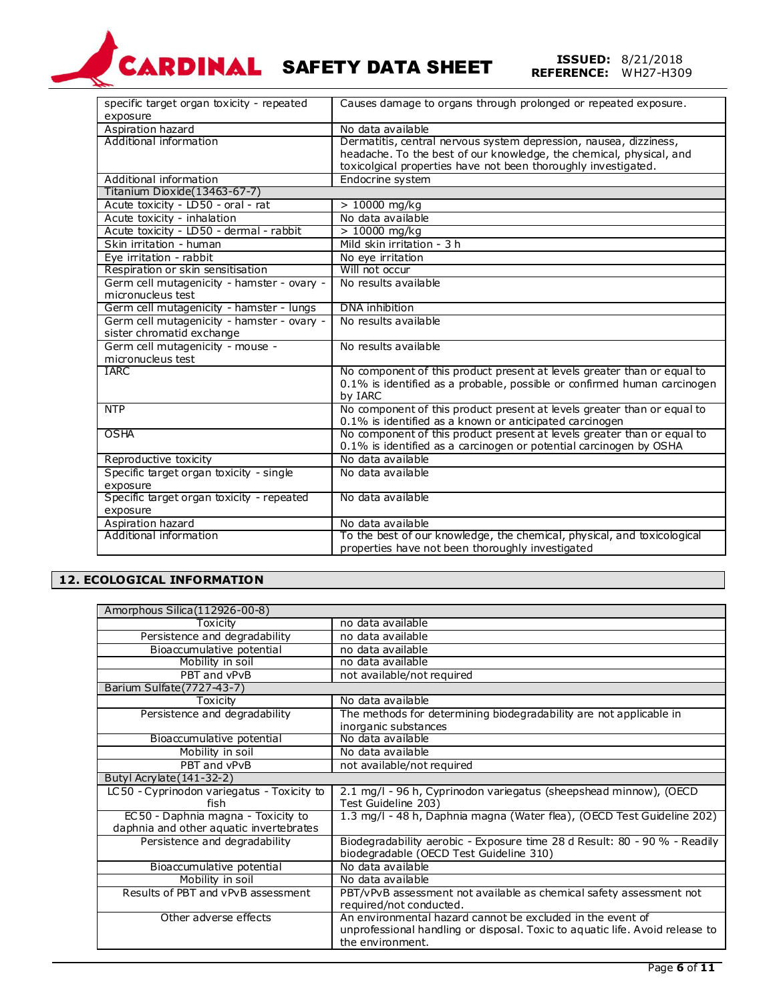# **CARDINAL SAFETY DATA SHEET**

**REFERENCE:** 8/21/2018<br>**REFERENCE:** WH27-H309

| specific target organ toxicity - repeated  | Causes damage to organs through prolonged or repeated exposure.          |
|--------------------------------------------|--------------------------------------------------------------------------|
| exposure                                   |                                                                          |
| Aspiration hazard                          | No data available                                                        |
| Additional information                     | Dermatitis, central nervous system depression, nausea, dizziness,        |
|                                            | headache. To the best of our knowledge, the chemical, physical, and      |
|                                            | toxicolgical properties have not been thoroughly investigated.           |
| Additional information                     | Endocrine system                                                         |
| Titanium Dioxide(13463-67-7)               |                                                                          |
| Acute toxicity - LD50 - oral - rat         | $> 10000$ mg/kg                                                          |
| Acute toxicity - inhalation                | No data available                                                        |
| Acute toxicity - LD50 - dermal - rabbit    | $>10000$ mg/kg                                                           |
| Skin irritation - human                    | Mild skin irritation - 3 h                                               |
| Eye irritation - rabbit                    | No eye irritation                                                        |
| Respiration or skin sensitisation          | Will not occur                                                           |
| Germ cell mutagenicity - hamster - ovary - | No results available                                                     |
| micronucleus test                          |                                                                          |
| Germ cell mutagenicity - hamster - lungs   | DNA inhibition                                                           |
| Germ cell mutagenicity - hamster - ovary - | No results available                                                     |
| sister chromatid exchange                  |                                                                          |
| Germ cell mutagenicity - mouse -           | No results available                                                     |
| micronucleus test                          |                                                                          |
| <b>IARC</b>                                | No component of this product present at levels greater than or equal to  |
|                                            | 0.1% is identified as a probable, possible or confirmed human carcinogen |
|                                            | by IARC                                                                  |
| <b>NTP</b>                                 | No component of this product present at levels greater than or equal to  |
|                                            | 0.1% is identified as a known or anticipated carcinogen                  |
| <b>OSHA</b>                                | No component of this product present at levels greater than or equal to  |
|                                            | 0.1% is identified as a carcinogen or potential carcinogen by OSHA       |
| Reproductive toxicity                      | No data available                                                        |
| Specific target organ toxicity - single    | No data available                                                        |
| exposure                                   |                                                                          |
| Specific target organ toxicity - repeated  | No data available                                                        |
| exposure                                   |                                                                          |
| Aspiration hazard                          | No data available                                                        |
| Additional information                     | To the best of our knowledge, the chemical, physical, and toxicological  |
|                                            | properties have not been thoroughly investigated                         |

# **12. ECOLOGICAL INFORMATION**

| Amorphous Silica(112926-00-8)              |                                                                                                                      |  |
|--------------------------------------------|----------------------------------------------------------------------------------------------------------------------|--|
| Toxicitv                                   | no data available                                                                                                    |  |
| Persistence and degradability              | no data available                                                                                                    |  |
| Bioaccumulative potential                  | no data available                                                                                                    |  |
| Mobility in soil                           | no data available                                                                                                    |  |
| PBT and vPvB                               | not available/not required                                                                                           |  |
| Barium Sulfate (7727-43-7)                 |                                                                                                                      |  |
| Toxicity                                   | No data available                                                                                                    |  |
| Persistence and degradability              | The methods for determining biodegradability are not applicable in                                                   |  |
|                                            | inorganic substances                                                                                                 |  |
| Bioaccumulative potential                  | No data available                                                                                                    |  |
| Mobility in soil                           | No data available                                                                                                    |  |
| PBT and vPvB                               | not available/not required                                                                                           |  |
| Butyl Acrylate (141-32-2)                  |                                                                                                                      |  |
| LC50 - Cyprinodon variegatus - Toxicity to | 2.1 mg/l - 96 h, Cyprinodon variegatus (sheepshead minnow), (OECD                                                    |  |
| fish                                       | Test Guideline 203)                                                                                                  |  |
| EC50 - Daphnia magna - Toxicity to         | 1.3 mg/l - 48 h, Daphnia magna (Water flea), (OECD Test Guideline 202)                                               |  |
| daphnia and other aquatic invertebrates    |                                                                                                                      |  |
| Persistence and degradability              | Biodegradability aerobic - Exposure time 28 d Result: 80 - 90 % - Readily<br>biodegradable (OECD Test Guideline 310) |  |
| Bioaccumulative potential                  | No data available                                                                                                    |  |
| Mobility in soil                           | No data available                                                                                                    |  |
| Results of PBT and vPvB assessment         | PBT/vPvB assessment not available as chemical safety assessment not                                                  |  |
|                                            | required/not conducted.                                                                                              |  |
| Other adverse effects                      | An environmental hazard cannot be excluded in the event of                                                           |  |
|                                            | unprofessional handling or disposal. Toxic to aguatic life. Avoid release to                                         |  |
|                                            | the environment.                                                                                                     |  |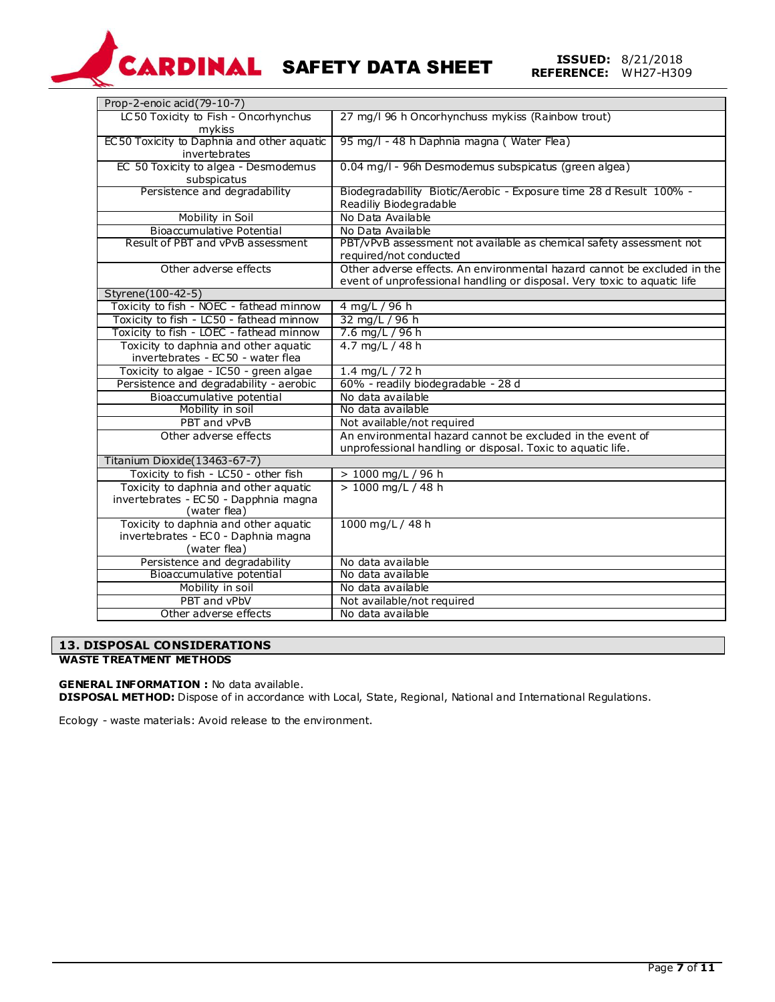# **CARDINAL SAFETY DATA SHEET**

| Prop-2-enoic acid(79-10-7)                 |                                                                          |
|--------------------------------------------|--------------------------------------------------------------------------|
| LC50 Toxicity to Fish - Oncorhynchus       | 27 mg/l 96 h Oncorhynchuss mykiss (Rainbow trout)                        |
| mykiss                                     |                                                                          |
| EC50 Toxicity to Daphnia and other aquatic | 95 mg/l - 48 h Daphnia magna (Water Flea)                                |
| invertebrates                              |                                                                          |
| EC 50 Toxicity to algea - Desmodemus       | 0.04 mg/l - 96h Desmodemus subspicatus (green algea)                     |
| subspicatus                                |                                                                          |
| Persistence and degradability              | Biodegradability Biotic/Aerobic - Exposure time 28 d Result 100% -       |
|                                            | Readiliy Biodegradable                                                   |
| Mobility in Soil                           | No Data Available                                                        |
| <b>Bioaccumulative Potential</b>           | No Data Available                                                        |
| Result of PBT and vPvB assessment          | PBT/vPvB assessment not available as chemical safety assessment not      |
|                                            | required/not conducted                                                   |
| Other adverse effects                      | Other adverse effects. An environmental hazard cannot be excluded in the |
|                                            | event of unprofessional handling or disposal. Very toxic to aquatic life |
| Styrene(100-42-5)                          |                                                                          |
| Toxicity to fish - NOEC - fathead minnow   | 4 mg/L / 96 h                                                            |
| Toxicity to fish - LC50 - fathead minnow   | 32 mg/L / 96 h                                                           |
| Toxicity to fish - LOEC - fathead minnow   | $7.6$ mg/L / 96 h                                                        |
| Toxicity to daphnia and other aquatic      | $4.7 \text{ mg/L} / 48 \text{ h}$                                        |
| invertebrates - EC 50 - water flea         |                                                                          |
| Toxicity to algae - IC50 - green algae     | 1.4 mg/L / 72 h                                                          |
| Persistence and degradability - aerobic    | 60% - readily biodegradable - 28 d                                       |
| Bioaccumulative potential                  | No data available                                                        |
| Mobility in soil                           | No data available                                                        |
| PBT and vPvB                               | Not available/not required                                               |
| Other adverse effects                      | An environmental hazard cannot be excluded in the event of               |
|                                            | unprofessional handling or disposal. Toxic to aquatic life.              |
| Titanium Dioxide(13463-67-7)               |                                                                          |
| Toxicity to fish - LC50 - other fish       | > 1000 mg/L / 96 h                                                       |
| Toxicity to daphnia and other aquatic      | $> 1000$ mg/L / 48 h                                                     |
| invertebrates - EC50 - Dapphnia magna      |                                                                          |
| (water flea)                               |                                                                          |
| Toxicity to daphnia and other aquatic      | 1000 mg/L / 48 h                                                         |
| invertebrates - EC0 - Daphnia magna        |                                                                          |
| (water flea)                               |                                                                          |
| Persistence and degradability              | No data available                                                        |
| Bioaccumulative potential                  | No data available                                                        |
| Mobility in soil                           | No data available                                                        |
| PBT and vPbV                               | Not available/not required                                               |
| Other adverse effects                      | No data available                                                        |

# **13. DISPOSAL CONSIDERATIONS**

# **WASTE TREATMENT METHODS**

**GENERAL INFORMATION :** No data available.

**DISPOSAL METHOD:** Dispose of in accordance with Local, State, Regional, National and International Regulations.

Ecology - waste materials: Avoid release to the environment.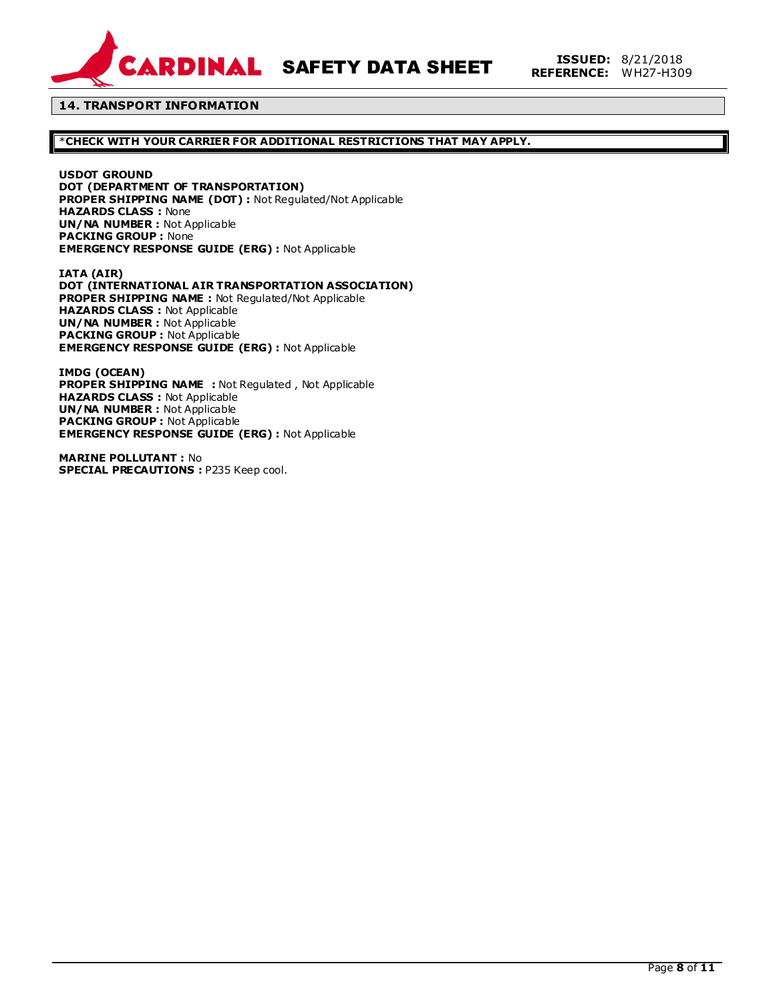

**SARDINAL SAFETY DATA SHEET ISSUED: 8/21/2018** 

# **14. TRANSPORT INFORMATION**

# \***CHECK WITH YOUR CARRIER FOR ADDITIONAL RESTRICTIONS THAT MAY APPLY.**

**USDOT GROUND**

**DOT (DEPARTMENT OF TRANSPORTATION) PROPER SHIPPING NAME (DOT) :** Not Regulated/Not Applicable **HAZARDS CLASS :** None **UN/NA NUMBER :** Not Applicable **PACKING GROUP :** None **EMERGENCY RESPONSE GUIDE (ERG) :** Not Applicable

**IATA (AIR) DOT (INTERNATIONAL AIR TRANSPORTATION ASSOCIATION) PROPER SHIPPING NAME :** Not Regulated/Not Applicable **HAZARDS CLASS :** Not Applicable **UN/NA NUMBER :** Not Applicable **PACKING GROUP :** Not Applicable **EMERGENCY RESPONSE GUIDE (ERG) :** Not Applicable

**IMDG (OCEAN) PROPER SHIPPING NAME :** Not Regulated , Not Applicable **HAZARDS CLASS :** Not Applicable **UN/NA NUMBER :** Not Applicable **PACKING GROUP :** Not Applicable **EMERGENCY RESPONSE GUIDE (ERG) :** Not Applicable

**MARINE POLLUTANT :** No **SPECIAL PRECAUTIONS :** P235 Keep cool.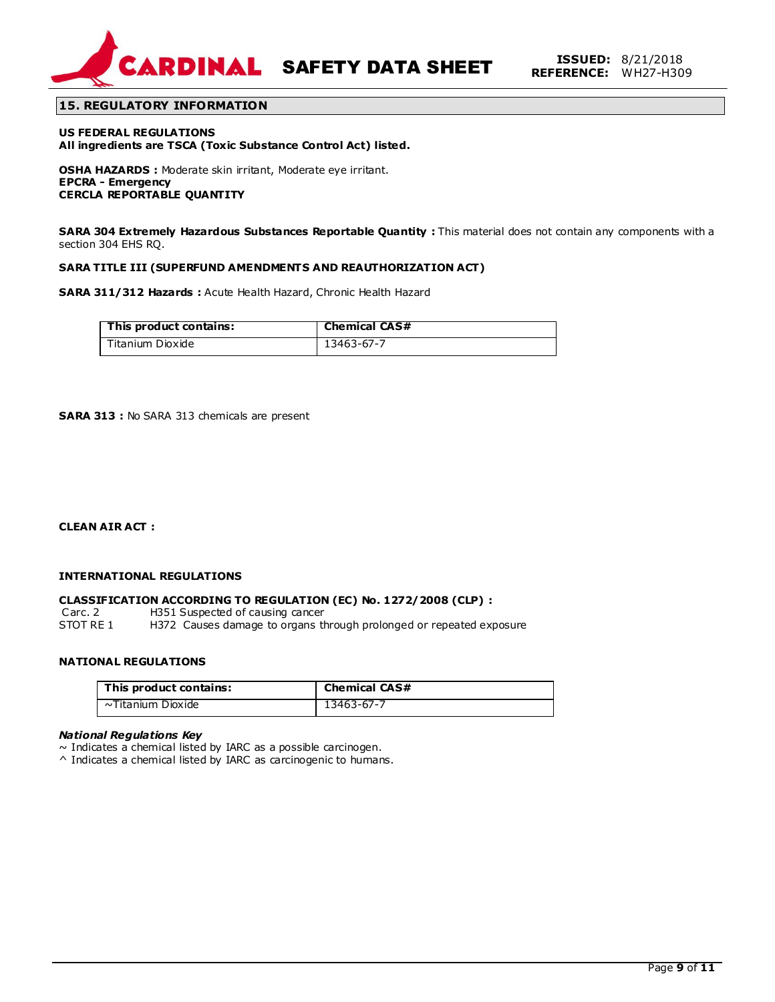

**SARDINAL SAFETY DATA SHEET ISSUED:** 8/21/2018

# **15. REGULATORY INFORMATION**

**US FEDERAL REGULATIONS All ingredients are TSCA (Toxic Substance Control Act) listed.**

**OSHA HAZARDS :** Moderate skin irritant, Moderate eye irritant. **EPCRA - Emergency CERCLA REPORTABLE QUANTITY**

**SARA 304 Extremely Hazardous Substances Reportable Quantity :** This material does not contain any components with a section 304 EHS RQ.

### **SARA TITLE III (SUPERFUND AMENDMENTS AND REAUTHORIZATION ACT)**

**SARA 311/312 Hazards :** Acute Health Hazard, Chronic Health Hazard

| This product contains: | <b>Chemical CAS#</b> |
|------------------------|----------------------|
| Titanium Dioxide       | 13463-67-7           |

**SARA 313 :** No SARA 313 chemicals are present

**CLEAN AIR ACT :** 

# **INTERNATIONAL REGULATIONS**

### **CLASSIFICATION ACCORDING TO REGULATION (EC) No. 1272/2008 (CLP) :**

Carc. 2 H351 Suspected of causing cancer<br>STOT RE 1 H372 Causes damage to organs the H372 Causes damage to organs through prolonged or repeated exposure

# **NATIONAL REGULATIONS**

| This product contains: | <b>Chemical CAS#</b> |
|------------------------|----------------------|
| ~Titanium Dioxide      | 13463-67-7           |

#### *National Regulations Key*

 $\sim$  Indicates a chemical listed by IARC as a possible carcinogen.

^ Indicates a chemical listed by IARC as carcinogenic to humans.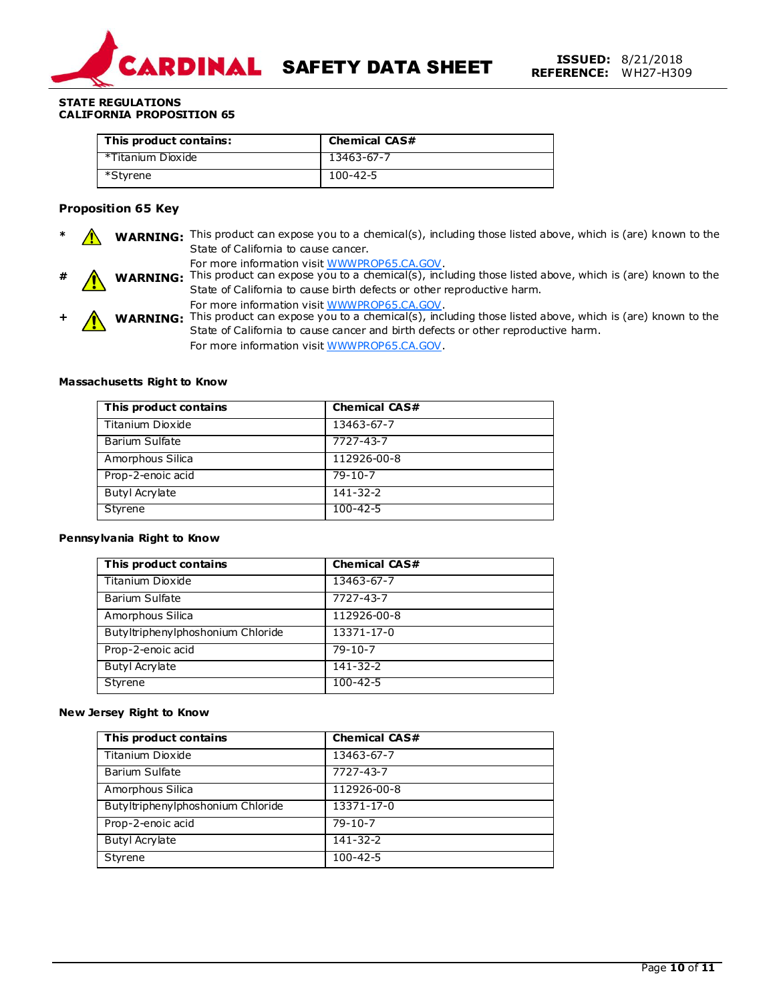

## **STATE REGULATIONS CALIFORNIA PROPOSITION 65**

| This product contains: | <b>Chemical CAS#</b> |
|------------------------|----------------------|
| *Titanium Dioxide      | 13463-67-7           |
| *Styrene               | $100 - 42 - 5$       |

# **Proposition 65 Key**

**A WARNING:** This product can expose you to a chemical(s), including those listed above, which is (are) known to the State of California to cause cancer.

For more information visit WWWPROP65.CA.GOV.

- **WARNING:** This product can expose you to a chemical(s), including those listed above, which is (are) known to the State of California to cause birth defects or other reproductive harm. For more information visit WWWPROP65.CA.GOV.
- **+ ∧ WARNING:** This product can expose you to a chemical(s), including those listed above, which is (are) known to the State of California to cause cancer and birth defects or other reproductive harm. For more information visit WWWPROP65.CA.GOV.

# **Massachusetts Right to Know**

| This product contains | <b>Chemical CAS#</b> |
|-----------------------|----------------------|
| Titanium Dioxide      | 13463-67-7           |
| Barium Sulfate        | 7727-43-7            |
| Amorphous Silica      | 112926-00-8          |
| Prop-2-enoic acid     | $79 - 10 - 7$        |
| <b>Butyl Acrylate</b> | $141 - 32 - 2$       |
| Styrene               | $100 - 42 - 5$       |

### **Pennsylvania Right to Know**

| This product contains             | <b>Chemical CAS#</b> |
|-----------------------------------|----------------------|
| Titanium Dioxide                  | 13463-67-7           |
| <b>Barium Sulfate</b>             | 7727-43-7            |
| Amorphous Silica                  | 112926-00-8          |
| Butyltriphenylphoshonium Chloride | 13371-17-0           |
| Prop-2-enoic acid                 | $79 - 10 - 7$        |
| <b>Butyl Acrylate</b>             | $141 - 32 - 2$       |
| Styrene                           | $100 - 42 - 5$       |

### **New Jersey Right to Know**

| This product contains             | <b>Chemical CAS#</b> |
|-----------------------------------|----------------------|
| Titanium Dioxide                  | 13463-67-7           |
| <b>Barium Sulfate</b>             | 7727-43-7            |
| Amorphous Silica                  | 112926-00-8          |
| Butyltriphenylphoshonium Chloride | 13371-17-0           |
| Prop-2-enoic acid                 | $79 - 10 - 7$        |
| <b>Butyl Acrylate</b>             | 141-32-2             |
| Styrene                           | $100 - 42 - 5$       |